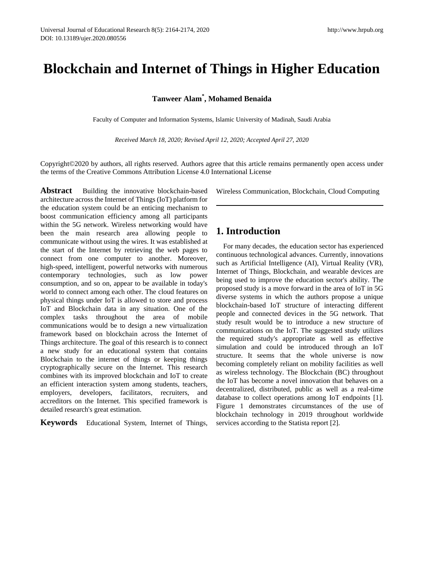# **Blockchain and Internet of Things in Higher Education**

# **Tanweer Alam\* , Mohamed Benaida**

Faculty of Computer and Information Systems, Islamic University of Madinah, Saudi Arabia

*Received March 18, 2020; Revised April 12, 2020; Accepted April 27, 2020*

Copyright©2020 by authors, all rights reserved. Authors agree that this article remains permanently open access under the terms of the Creative Commons Attribution License 4.0 International License

**Abstract** Building the innovative blockchain-based architecture across the Internet of Things (IoT) platform for the education system could be an enticing mechanism to boost communication efficiency among all participants within the 5G network. Wireless networking would have been the main research area allowing people to communicate without using the wires. It was established at the start of the Internet by retrieving the web pages to connect from one computer to another. Moreover, high-speed, intelligent, powerful networks with numerous contemporary technologies, such as low power consumption, and so on, appear to be available in today's world to connect among each other. The cloud features on physical things under IoT is allowed to store and process IoT and Blockchain data in any situation. One of the complex tasks throughout the area of mobile communications would be to design a new virtualization framework based on blockchain across the Internet of Things architecture. The goal of this research is to connect a new study for an educational system that contains Blockchain to the internet of things or keeping things cryptographically secure on the Internet. This research combines with its improved blockchain and IoT to create an efficient interaction system among students, teachers, employers, developers, facilitators, recruiters, and accreditors on the Internet. This specified framework is detailed research's great estimation.

**Keywords** Educational System, Internet of Things,

Wireless Communication, Blockchain, Cloud Computing

# **1. Introduction**

For many decades, the education sector has experienced continuous technological advances. Currently, innovations such as Artificial Intelligence (AI), Virtual Reality (VR), Internet of Things, Blockchain, and wearable devices are being used to improve the education sector's ability. The proposed study is a move forward in the area of IoT in 5G diverse systems in which the authors propose a unique blockchain-based IoT structure of interacting different people and connected devices in the 5G network. That study result would be to introduce a new structure of communications on the IoT. The suggested study utilizes the required study's appropriate as well as effective simulation and could be introduced through an IoT structure. It seems that the whole universe is now becoming completely reliant on mobility facilities as well as wireless technology. The Blockchain (BC) throughout the IoT has become a novel innovation that behaves on a decentralized, distributed, public as well as a real-time database to collect operations among IoT endpoints [1]. Figure 1 demonstrates circumstances of the use of blockchain technology in 2019 throughout worldwide services according to the Statista report [2].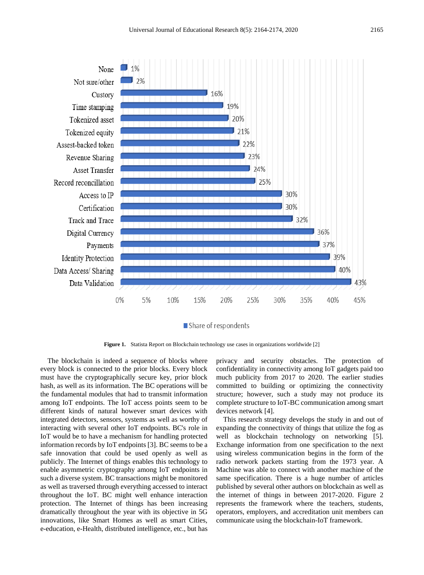

Figure 1. Statista Report on Blockchain technology use cases in organizations worldwide [2]

The blockchain is indeed a sequence of blocks where every block is connected to the prior blocks. Every block must have the cryptographically secure key, prior block hash, as well as its information. The BC operations will be the fundamental modules that had to transmit information among IoT endpoints. The IoT access points seem to be different kinds of natural however smart devices with integrated detectors, sensors, systems as well as worthy of interacting with several other IoT endpoints. BC's role in IoT would be to have a mechanism for handling protected information records by IoT endpoints [3]. BC seems to be a safe innovation that could be used openly as well as publicly. The Internet of things enables this technology to enable asymmetric cryptography among IoT endpoints in such a diverse system. BC transactions might be monitored as well as traversed through everything accessed to interact throughout the IoT. BC might well enhance interaction protection. The Internet of things has been increasing dramatically throughout the year with its objective in 5G innovations, like Smart Homes as well as smart Cities, e-education, e-Health, distributed intelligence, etc., but has

privacy and security obstacles. The protection of confidentiality in connectivity among IoT gadgets paid too much publicity from 2017 to 2020. The earlier studies committed to building or optimizing the connectivity structure; however, such a study may not produce its complete structure to IoT-BC communication among smart devices network [4].

This research strategy develops the study in and out of expanding the connectivity of things that utilize the fog as well as blockchain technology on networking [5]. Exchange information from one specification to the next using wireless communication begins in the form of the radio network packets starting from the 1973 year. A Machine was able to connect with another machine of the same specification. There is a huge number of articles published by several other authors on blockchain as well as the internet of things in between 2017-2020. Figure 2 represents the framework where the teachers, students, operators, employers, and accreditation unit members can communicate using the blockchain-IoT framework.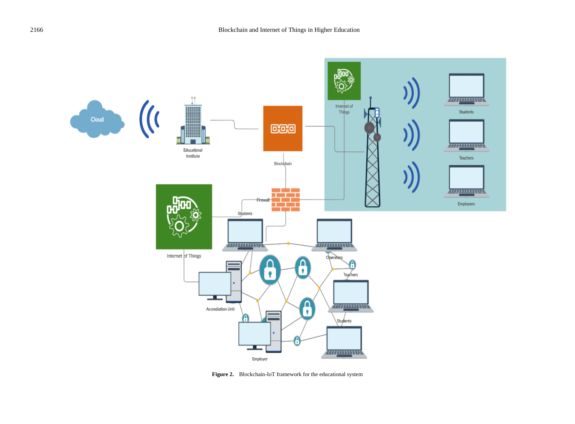

**Figure 2.** Blockchain-IoT framework for the educational system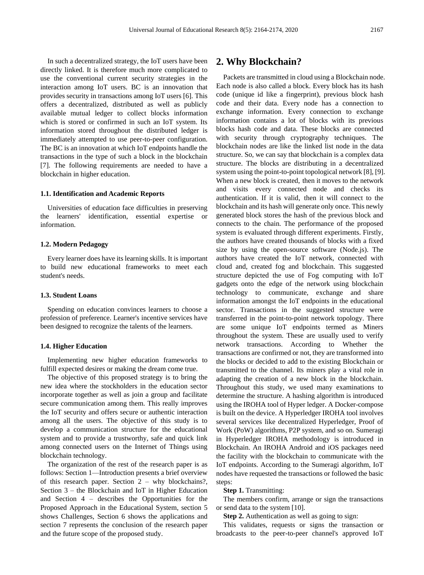In such a decentralized strategy, the IoT users have been directly linked. It is therefore much more complicated to use the conventional current security strategies in the interaction among IoT users. BC is an innovation that provides security in transactions among IoT users [6]. This offers a decentralized, distributed as well as publicly available mutual ledger to collect blocks information which is stored or confirmed in such an IoT system. Its information stored throughout the distributed ledger is immediately attempted to use peer-to-peer configuration. The BC is an innovation at which IoT endpoints handle the transactions in the type of such a block in the blockchain [7]. The following requirements are needed to have a blockchain in higher education.

#### **1.1. Identification and Academic Reports**

Universities of education face difficulties in preserving the learners' identification, essential expertise information.

#### **1.2. Modern Pedagogy**

Every learner does have its learning skills. It is important to build new educational frameworks to meet each student's needs.

# **1.3. Student Loans**

Spending on education convinces learners to choose a profession of preference. Learner's incentive services have been designed to recognize the talents of the learners.

#### **1.4. Higher Education**

Implementing new higher education frameworks to fulfill expected desires or making the dream come true.

The objective of this proposed strategy is to bring the new idea where the stockholders in the education sector incorporate together as well as join a group and facilitate secure communication among them. This really improves the IoT security and offers secure or authentic interaction among all the users. The objective of this study is to develop a communication structure for the educational system and to provide a trustworthy, safe and quick link among connected users on the Internet of Things using blockchain technology.

The organization of the rest of the research paper is as follows: Section 1—Introduction presents a brief overview of this research paper. Section 2 – why blockchains?, Section 3 – the Blockchain and IoT in Higher Education and Section 4 – describes the Opportunities for the Proposed Approach in the Educational System, section 5 shows Challenges, Section 6 shows the applications and section 7 represents the conclusion of the research paper and the future scope of the proposed study.

# **2. Why Blockchain?**

Packets are transmitted in cloud using a Blockchain node. Each node is also called a block. Every block has its hash code (unique id like a fingerprint), previous block hash code and their data. Every node has a connection to exchange information. Every connection to exchange information contains a lot of blocks with its previous blocks hash code and data. These blocks are connected with security through cryptography techniques. The blockchain nodes are like the linked list node in the data structure. So, we can say that blockchain is a complex data structure. The blocks are distributing in a decentralized system using the point-to-point topological network [8], [9]. When a new block is created, then it moves to the network and visits every connected node and checks its authentication. If it is valid, then it will connect to the blockchain and its hash will generate only once. This newly generated block stores the hash of the previous block and connects to the chain. The performance of the proposed system is evaluated through different experiments. Firstly, the authors have created thousands of blocks with a fixed size by using the open-source software (Node.js). The authors have created the IoT network, connected with cloud and, created fog and blockchain. This suggested structure depicted the use of Fog computing with IoT gadgets onto the edge of the network using blockchain technology to communicate, exchange and share information amongst the IoT endpoints in the educational sector. Transactions in the suggested structure were transferred in the point-to-point network topology. There are some unique IoT endpoints termed as Miners throughout the system. These are usually used to verify network transactions. According to Whether the transactions are confirmed or not, they are transformed into the blocks or decided to add to the existing Blockchain or transmitted to the channel. Its miners play a vital role in adapting the creation of a new block in the blockchain. Throughout this study, we used many examinations to determine the structure. A hashing algorithm is introduced using the IROHA tool of Hyper ledger. A Docker-compose is built on the device. A Hyperledger IROHA tool involves several services like decentralized Hyperledger, Proof of Work (PoW) algorithms, P2P system, and so on. Sumeragi in Hyperledger IROHA methodology is introduced in Blockchain. An IROHA Android and iOS packages need the facility with the blockchain to communicate with the IoT endpoints. According to the Sumeragi algorithm, IoT nodes have requested the transactions or followed the basic steps:

### **Step 1.** Transmitting:

The members confirm, arrange or sign the transactions or send data to the system [10].

**Step 2.** Authentication as well as going to sign:

This validates, requests or signs the transaction or broadcasts to the peer-to-peer channel's approved IoT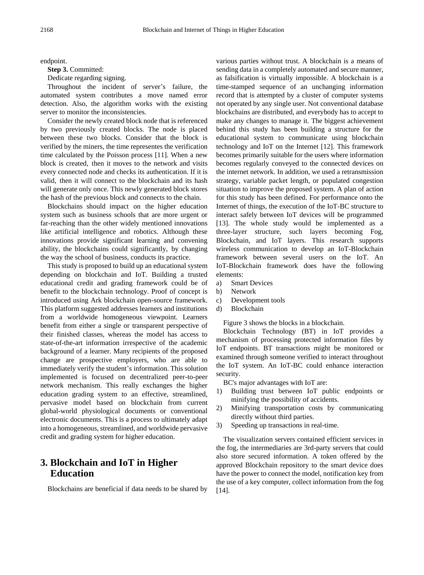endpoint.

**Step 3.** Committed:

Dedicate regarding signing.

Throughout the incident of server's failure, the automated system contributes a move named error detection. Also, the algorithm works with the existing server to monitor the inconsistencies.

Consider the newly created block node that is referenced by two previously created blocks. The node is placed between these two blocks. Consider that the block is verified by the miners, the time representes the verification time calculated by the Poisson process [11]. When a new block is created, then it moves to the network and visits every connected node and checks its authentication. If it is valid, then it will connect to the blockchain and its hash will generate only once. This newly generated block stores the hash of the previous block and connects to the chain.

Blockchains should impact on the higher education system such as business schools that are more urgent or far-reaching than the other widely mentioned innovations like artificial intelligence and robotics. Although these innovations provide significant learning and convening ability, the blockchains could significantly, by changing the way the school of business, conducts its practice.

This study is proposed to build up an educational system depending on blockchain and IoT. Building a trusted educational credit and grading framework could be of benefit to the blockchain technology. Proof of concept is introduced using Ark blockchain open-source framework. This platform suggested addresses learners and institutions from a worldwide homogeneous viewpoint. Learners benefit from either a single or transparent perspective of their finished classes, whereas the model has access to state-of-the-art information irrespective of the academic background of a learner. Many recipients of the proposed change are prospective employers, who are able to immediately verify the student's information. This solution implemented is focused on decentralized peer-to-peer network mechanism. This really exchanges the higher education grading system to an effective, streamlined, pervasive model based on blockchain from current global-world physiological documents or conventional electronic documents. This is a process to ultimately adapt into a homogeneous, streamlined, and worldwide pervasive credit and grading system for higher education.

# **3. Blockchain and IoT in Higher Education**

Blockchains are beneficial if data needs to be shared by

various parties without trust. A blockchain is a means of sending data in a completely automated and secure manner, as falsification is virtually impossible. A blockchain is a time-stamped sequence of an unchanging information record that is attempted by a cluster of computer systems not operated by any single user. Not conventional database blockchains are distributed, and everybody has to accept to make any changes to manage it. The biggest achievement behind this study has been building a structure for the educational system to communicate using blockchain technology and IoT on the Internet [12]. This framework becomes primarily suitable for the users where information becomes regularly conveyed to the connected devices on the internet network. In addition, we used a retransmission strategy, variable packet length, or populated congestion situation to improve the proposed system. A plan of action for this study has been defined. For performance onto the Internet of things, the execution of the IoT-BC structure to interact safely between IoT devices will be programmed [13]. The whole study would be implemented as a three-layer structure, such layers becoming Fog, Blockchain, and IoT layers. This research supports wireless communication to develop an IoT-Blockchain framework between several users on the IoT. An IoT-Blockchain framework does have the following elements:

- a) Smart Devices
- b) Network
- c) Development tools
- d) Blockchain

Figure 3 shows the blocks in a blockchain.

Blockchain Technology (BT) in IoT provides a mechanism of processing protected information files by IoT endpoints. BT transactions might be monitored or examined through someone verified to interact throughout the IoT system. An IoT-BC could enhance interaction security.

BC's major advantages with IoT are:

- 1) Building trust between IoT public endpoints or minifying the possibility of accidents.
- 2) Minifying transportation costs by communicating directly without third parties.
- 3) Speeding up transactions in real-time.

The visualization servers contained efficient services in the fog, the intermediaries are 3rd-party servers that could also store secured information. A token offered by the approved Blockchain repository to the smart device does have the power to connect the model, notification key from the use of a key computer, collect information from the fog [14].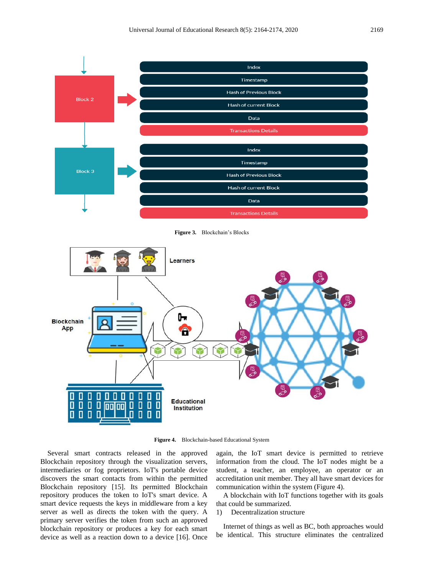

**Figure 3.** Blockchain's Blocks



**Figure 4.** Blockchain-based Educational System

Several smart contracts released in the approved Blockchain repository through the visualization servers, intermediaries or fog proprietors. IoT's portable device discovers the smart contacts from within the permitted Blockchain repository [15]. Its permitted Blockchain repository produces the token to IoT's smart device. A smart device requests the keys in middleware from a key server as well as directs the token with the query. A primary server verifies the token from such an approved blockchain repository or produces a key for each smart device as well as a reaction down to a device [16]. Once

again, the IoT smart device is permitted to retrieve information from the cloud. The IoT nodes might be a student, a teacher, an employee, an operator or an accreditation unit member. They all have smart devices for communication within the system (Figure 4).

A blockchain with IoT functions together with its goals that could be summarized.

# 1) Decentralization structure

Internet of things as well as BC, both approaches would be identical. This structure eliminates the centralized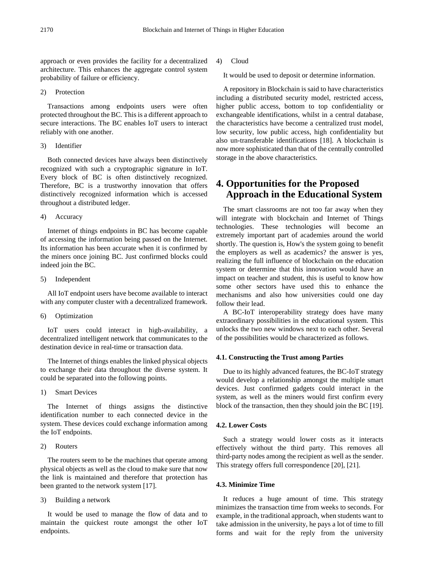approach or even provides the facility for a decentralized architecture. This enhances the aggregate control system probability of failure or efficiency.

2) Protection

Transactions among endpoints users were often protected throughout the BC. This is a different approach to secure interactions. The BC enables IoT users to interact reliably with one another.

3) Identifier

Both connected devices have always been distinctively recognized with such a cryptographic signature in IoT. Every block of BC is often distinctively recognized. Therefore, BC is a trustworthy innovation that offers distinctively recognized information which is accessed throughout a distributed ledger.

4) Accuracy

Internet of things endpoints in BC has become capable of accessing the information being passed on the Internet. Its information has been accurate when it is confirmed by the miners once joining BC. Just confirmed blocks could indeed join the BC.

5) Independent

All IoT endpoint users have become available to interact with any computer cluster with a decentralized framework.

6) Optimization

IoT users could interact in high-availability, a decentralized intelligent network that communicates to the destination device in real-time or transaction data.

The Internet of things enables the linked physical objects to exchange their data throughout the diverse system. It could be separated into the following points.

1) Smart Devices

The Internet of things assigns the distinctive identification number to each connected device in the system. These devices could exchange information among the IoT endpoints.

2) Routers

The routers seem to be the machines that operate among physical objects as well as the cloud to make sure that now the link is maintained and therefore that protection has been granted to the network system [17].

3) Building a network

It would be used to manage the flow of data and to maintain the quickest route amongst the other IoT endpoints.

4) Cloud

It would be used to deposit or determine information.

A repository in Blockchain is said to have characteristics including a distributed security model, restricted access, higher public access, bottom to top confidentiality or exchangeable identifications, whilst in a central database, the characteristics have become a centralized trust model, low security, low public access, high confidentiality but also un-transferable identifications [18]. A blockchain is now more sophisticated than that of the centrally controlled storage in the above characteristics.

# **4. Opportunities for the Proposed Approach in the Educational System**

The smart classrooms are not too far away when they will integrate with blockchain and Internet of Things technologies. These technologies will become an extremely important part of academies around the world shortly. The question is, How's the system going to benefit the employers as well as academics? the answer is yes, realizing the full influence of blockchain on the education system or determine that this innovation would have an impact on teacher and student, this is useful to know how some other sectors have used this to enhance the mechanisms and also how universities could one day follow their lead.

A BC-IoT interoperability strategy does have many extraordinary possibilities in the educational system. This unlocks the two new windows next to each other. Several of the possibilities would be characterized as follows.

# **4.1. Constructing the Trust among Parties**

Due to its highly advanced features, the BC-IoT strategy would develop a relationship amongst the multiple smart devices. Just confirmed gadgets could interact in the system, as well as the miners would first confirm every block of the transaction, then they should join the BC [19].

# **4.2. Lower Costs**

Such a strategy would lower costs as it interacts effectively without the third party. This removes all third-party nodes among the recipient as well as the sender. This strategy offers full correspondence [20], [21].

# **4.3. Minimize Time**

It reduces a huge amount of time. This strategy minimizes the transaction time from weeks to seconds. For example, in the traditional approach, when students want to take admission in the university, he pays a lot of time to fill forms and wait for the reply from the university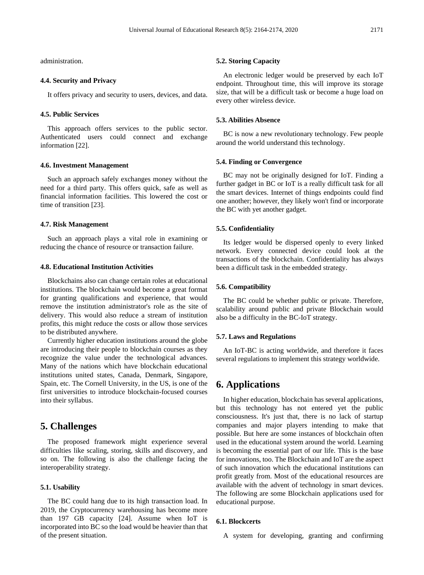administration.

### **4.4. Security and Privacy**

It offers privacy and security to users, devices, and data.

#### **4.5. Public Services**

This approach offers services to the public sector. Authenticated users could connect and exchange information [22].

## **4.6. Investment Management**

Such an approach safely exchanges money without the need for a third party. This offers quick, safe as well as financial information facilities. This lowered the cost or time of transition [23].

#### **4.7. Risk Management**

Such an approach plays a vital role in examining or reducing the chance of resource or transaction failure.

# **4.8. Educational Institution Activities**

Blockchains also can change certain roles at educational institutions. The blockchain would become a great format for granting qualifications and experience, that would remove the institution administrator's role as the site of delivery. This would also reduce a stream of institution profits, this might reduce the costs or allow those services to be distributed anywhere.

Currently higher education institutions around the globe are introducing their people to blockchain courses as they recognize the value under the technological advances. Many of the nations which have blockchain educational institutions united states, Canada, Denmark, Singapore, Spain, etc. The Cornell University, in the US, is one of the first universities to introduce blockchain-focused courses into their syllabus.

# **5. Challenges**

The proposed framework might experience several difficulties like scaling, storing, skills and discovery, and so on. The following is also the challenge facing the interoperability strategy.

#### **5.1. Usability**

The BC could hang due to its high transaction load. In 2019, the Cryptocurrency warehousing has become more than 197 GB capacity [24]. Assume when IoT is incorporated into BC so the load would be heavier than that of the present situation.

# **5.2. Storing Capacity**

An electronic ledger would be preserved by each IoT endpoint. Throughout time, this will improve its storage size, that will be a difficult task or become a huge load on every other wireless device.

# **5.3. Abilities Absence**

BC is now a new revolutionary technology. Few people around the world understand this technology.

#### **5.4. Finding or Convergence**

BC may not be originally designed for IoT. Finding a further gadget in BC or IoT is a really difficult task for all the smart devices. Internet of things endpoints could find one another; however, they likely won't find or incorporate the BC with yet another gadget.

#### **5.5. Confidentiality**

Its ledger would be dispersed openly to every linked network. Every connected device could look at the transactions of the blockchain. Confidentiality has always been a difficult task in the embedded strategy.

# **5.6. Compatibility**

The BC could be whether public or private. Therefore, scalability around public and private Blockchain would also be a difficulty in the BC-IoT strategy.

#### **5.7. Laws and Regulations**

An IoT-BC is acting worldwide, and therefore it faces several regulations to implement this strategy worldwide.

# **6. Applications**

In higher education, blockchain has several applications, but this technology has not entered yet the public consciousness. It's just that, there is no lack of startup companies and major players intending to make that possible. But here are some instances of blockchain often used in the educational system around the world. Learning is becoming the essential part of our life. This is the base for innovations, too. The Blockchain and IoT are the aspect of such innovation which the educational institutions can profit greatly from. Most of the educational resources are available with the advent of technology in smart devices. The following are some Blockchain applications used for educational purpose.

# **6.1. Blockcerts**

A system for developing, granting and confirming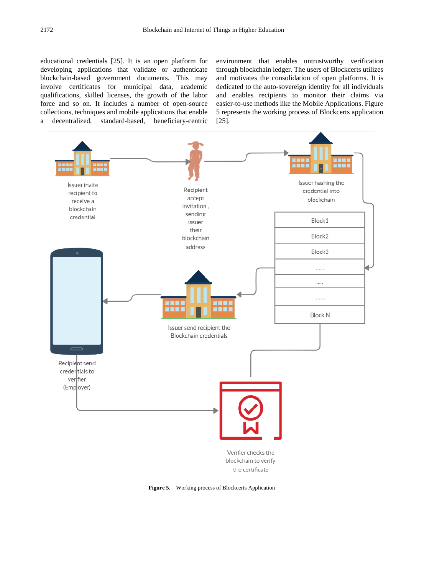educational credentials [25]. It is an open platform for developing applications that validate or authenticate blockchain-based government documents. This may involve certificates for municipal data, academic qualifications, skilled licenses, the growth of the labor force and so on. It includes a number of open-source collections, techniques and mobile applications that enable a decentralized, standard-based, beneficiary-centric

environment that enables untrustworthy verification through blockchain ledger. The users of Blockcerts utilizes and motivates the consolidation of open platforms. It is dedicated to the auto-sovereign identity for all individuals and enables recipients to monitor their claims via easier-to-use methods like the Mobile Applications. Figure 5 represents the working process of Blockcerts application [25].



**Figure 5.** Working process of Blockcerts Application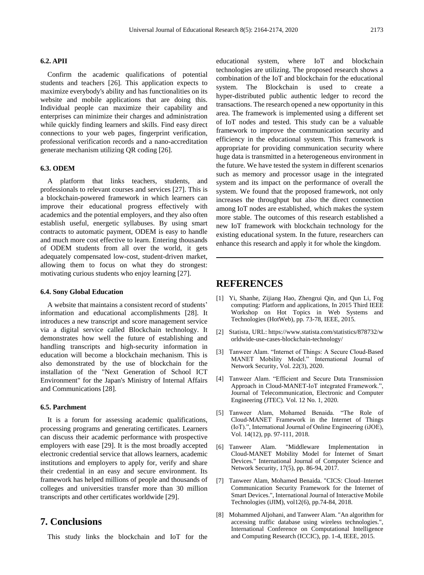### **6.2. APII**

Confirm the academic qualifications of potential students and teachers [26]. This application expects to maximize everybody's ability and has functionalities on its website and mobile applications that are doing this. Individual people can maximize their capability and enterprises can minimize their charges and administration while quickly finding learners and skills. Find easy direct connections to your web pages, fingerprint verification, professional verification records and a nano-accreditation generate mechanism utilizing QR coding [26].

### **6.3. ODEM**

A platform that links teachers, students, and professionals to relevant courses and services [27]. This is a blockchain-powered framework in which learners can improve their educational progress effectively with academics and the potential employers, and they also often establish useful, energetic syllabuses. By using smart contracts to automatic payment, ODEM is easy to handle and much more cost effective to learn. Entering thousands of ODEM students from all over the world, it gets adequately compensated low-cost, student-driven market, allowing them to focus on what they do strongest: motivating curious students who enjoy learning [27].

#### **6.4. Sony Global Education**

A website that maintains a consistent record of students' information and educational accomplishments [28]. It introduces a new transcript and score management service via a digital service called Blockchain technology. It demonstrates how well the future of establishing and handling transcripts and high-security information in education will become a blockchain mechanism. This is also demonstrated by the use of blockchain for the installation of the "Next Generation of School ICT Environment" for the Japan's Ministry of Internal Affairs and Communications [28].

#### **6.5. Parchment**

It is a forum for assessing academic qualifications, processing programs and generating certificates. Learners can discuss their academic performance with prospective employers with ease [29]. It is the most broadly accepted electronic credential service that allows learners, academic institutions and employers to apply for, verify and share their credential in an easy and secure environment. Its framework has helped millions of people and thousands of colleges and universities transfer more than 30 million transcripts and other certificates worldwide [29].

# **7. Conclusions**

This study links the blockchain and IoT for the

educational system, where IoT and blockchain technologies are utilizing. The proposed research shows a combination of the IoT and blockchain for the educational system. The Blockchain is used to create a hyper-distributed public authentic ledger to record the transactions. The research opened a new opportunity in this area. The framework is implemented using a different set of IoT nodes and tested. This study can be a valuable framework to improve the communication security and efficiency in the educational system. This framework is appropriate for providing communication security where huge data is transmitted in a heterogeneous environment in the future. We have tested the system in different scenarios such as memory and processor usage in the integrated system and its impact on the performance of overall the system. We found that the proposed framework, not only increases the throughput but also the direct connection among IoT nodes are established, which makes the system more stable. The outcomes of this research established a new IoT framework with blockchain technology for the existing educational system. In the future, researchers can enhance this research and apply it for whole the kingdom.

# **REFERENCES**

- [1] Yi, Shanhe, Zijiang Hao, Zhengrui Qin, and Qun Li, Fog computing: Platform and applications, In 2015 Third IEEE Workshop on Hot Topics in Web Systems and Technologies (HotWeb), pp. 73-78, IEEE, 2015.
- [2] Statista, URL: https://www.statista.com/statistics/878732/w orldwide-use-cases-blockchain-technology/
- [3] Tanweer Alam. "Internet of Things: A Secure Cloud-Based MANET Mobility Model." International Journal of Network Security, Vol. 22(3), 2020.
- [4] Tanweer Alam. "Efficient and Secure Data Transmission Approach in Cloud-MANET-IoT integrated Framework.", Journal of Telecommunication, Electronic and Computer Engineering (JTEC). Vol. 12 No. 1, 2020.
- [5] Tanweer Alam, Mohamed Benaida. "The Role of Cloud-MANET Framework in the Internet of Things (IoT).‖, International Journal of Online Engineering (iJOE), Vol. 14(12), pp. 97-111, 2018.
- [6] Tanweer Alam. "Middleware Implementation in Cloud-MANET Mobility Model for Internet of Smart Devices." International Journal of Computer Science and Network Security, 17(5), pp. 86-94, 2017.
- [7] Tanweer Alam, Mohamed Benaida. "CICS: Cloud–Internet Communication Security Framework for the Internet of Smart Devices.", International Journal of Interactive Mobile Technologies (iJIM), vol12(6), pp.74-84, 2018.
- [8] Mohammed Aljohani, and Tanweer Alam. "An algorithm for accessing traffic database using wireless technologies.", International Conference on Computational Intelligence and Computing Research (ICCIC), pp. 1-4, IEEE, 2015.